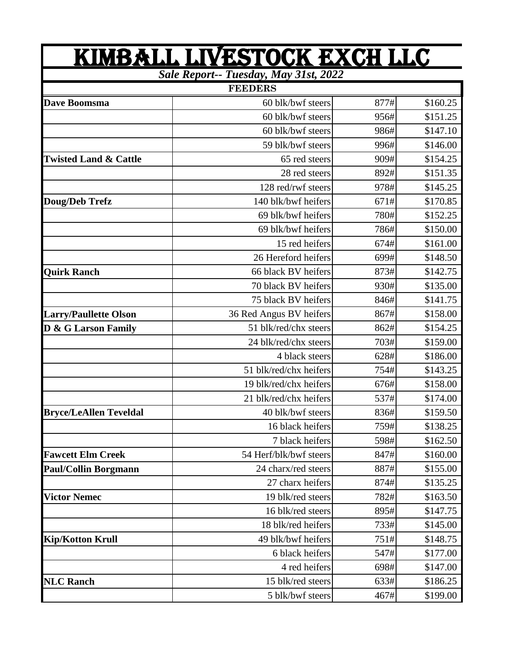|                                       | KIMBALL LIVESTOCK EXCH LLC |      |          |  |
|---------------------------------------|----------------------------|------|----------|--|
| Sale Report-- Tuesday, May 31st, 2022 |                            |      |          |  |
|                                       | <b>FEEDERS</b>             |      |          |  |
| Dave Boomsma                          | 60 blk/bwf steers          | 877# | \$160.25 |  |
|                                       | 60 blk/bwf steers          | 956# | \$151.25 |  |
|                                       | 60 blk/bwf steers          | 986# | \$147.10 |  |
|                                       | 59 blk/bwf steers          | 996# | \$146.00 |  |
| <b>Twisted Land &amp; Cattle</b>      | 65 red steers              | 909# | \$154.25 |  |
|                                       | 28 red steers              | 892# | \$151.35 |  |
|                                       | 128 red/rwf steers         | 978# | \$145.25 |  |
| <b>Doug/Deb Trefz</b>                 | 140 blk/bwf heifers        | 671# | \$170.85 |  |
|                                       | 69 blk/bwf heifers         | 780# | \$152.25 |  |
|                                       | 69 blk/bwf heifers         | 786# | \$150.00 |  |
|                                       | 15 red heifers             | 674# | \$161.00 |  |
|                                       | 26 Hereford heifers        | 699# | \$148.50 |  |
| <b>Quirk Ranch</b>                    | 66 black BV heifers        | 873# | \$142.75 |  |
|                                       | 70 black BV heifers        | 930# | \$135.00 |  |
|                                       | 75 black BV heifers        | 846# | \$141.75 |  |
| <b>Larry/Paullette Olson</b>          | 36 Red Angus BV heifers    | 867# | \$158.00 |  |
| D & G Larson Family                   | 51 blk/red/chx steers      | 862# | \$154.25 |  |
|                                       | 24 blk/red/chx steers      | 703# | \$159.00 |  |
|                                       | 4 black steers             | 628# | \$186.00 |  |
|                                       | 51 blk/red/chx heifers     | 754# | \$143.25 |  |
|                                       | 19 blk/red/chx heifers     | 676# | \$158.00 |  |
|                                       | 21 blk/red/chx heifers     | 537# | \$174.00 |  |
| <b>Bryce/LeAllen Teveldal</b>         | 40 blk/bwf steers          | 836# | \$159.50 |  |
|                                       | 16 black heifers           | 759# | \$138.25 |  |
|                                       | 7 black heifers            | 598# | \$162.50 |  |
| <b>Fawcett Elm Creek</b>              | 54 Herf/blk/bwf steers     | 847# | \$160.00 |  |
| <b>Paul/Collin Borgmann</b>           | 24 charx/red steers        | 887# | \$155.00 |  |
|                                       | 27 charx heifers           | 874# | \$135.25 |  |
| <b>Victor Nemec</b>                   | 19 blk/red steers          | 782# | \$163.50 |  |
|                                       | 16 blk/red steers          | 895# | \$147.75 |  |
|                                       | 18 blk/red heifers         | 733# | \$145.00 |  |
| <b>Kip/Kotton Krull</b>               | 49 blk/bwf heifers         | 751# | \$148.75 |  |
|                                       | 6 black heifers            | 547# | \$177.00 |  |
|                                       | 4 red heifers              | 698# | \$147.00 |  |
| <b>NLC Ranch</b>                      | 15 blk/red steers          | 633# | \$186.25 |  |
|                                       | 5 blk/bwf steers           | 467# | \$199.00 |  |